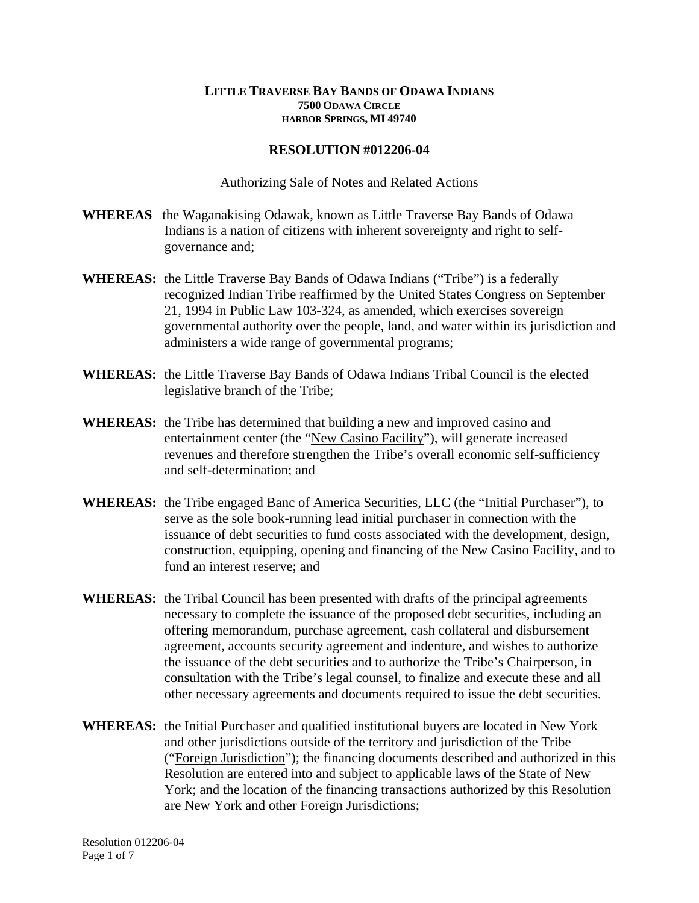## **LITTLE TRAVERSE BAY BANDS OF ODAWA INDIANS 7500 ODAWA CIRCLE HARBOR SPRINGS, MI 49740**

## **RESOLUTION #012206-04**

Authorizing Sale of Notes and Related Actions

- **WHEREAS** the Waganakising Odawak, known as Little Traverse Bay Bands of Odawa Indians is a nation of citizens with inherent sovereignty and right to selfgovernance and;
- **WHEREAS:** the Little Traverse Bay Bands of Odawa Indians ("Tribe") is a federally recognized Indian Tribe reaffirmed by the United States Congress on September 21, 1994 in Public Law 103-324, as amended, which exercises sovereign governmental authority over the people, land, and water within its jurisdiction and administers a wide range of governmental programs;
- **WHEREAS:** the Little Traverse Bay Bands of Odawa Indians Tribal Council is the elected legislative branch of the Tribe;
- **WHEREAS:** the Tribe has determined that building a new and improved casino and entertainment center (the "New Casino Facility"), will generate increased revenues and therefore strengthen the Tribe's overall economic self-sufficiency and self-determination; and
- **WHEREAS:** the Tribe engaged Banc of America Securities, LLC (the "Initial Purchaser"), to serve as the sole book-running lead initial purchaser in connection with the issuance of debt securities to fund costs associated with the development, design, construction, equipping, opening and financing of the New Casino Facility, and to fund an interest reserve; and
- **WHEREAS:** the Tribal Council has been presented with drafts of the principal agreements necessary to complete the issuance of the proposed debt securities, including an offering memorandum, purchase agreement, cash collateral and disbursement agreement, accounts security agreement and indenture, and wishes to authorize the issuance of the debt securities and to authorize the Tribe's Chairperson, in consultation with the Tribe's legal counsel, to finalize and execute these and all other necessary agreements and documents required to issue the debt securities.
- **WHEREAS:** the Initial Purchaser and qualified institutional buyers are located in New York and other jurisdictions outside of the territory and jurisdiction of the Tribe ("Foreign Jurisdiction"); the financing documents described and authorized in this Resolution are entered into and subject to applicable laws of the State of New York; and the location of the financing transactions authorized by this Resolution are New York and other Foreign Jurisdictions;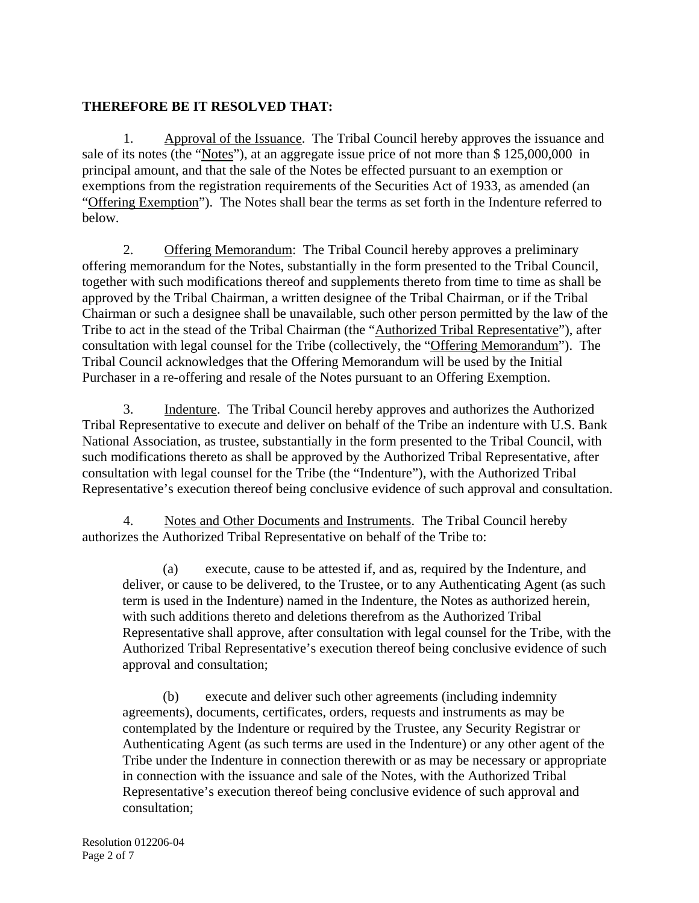## **THEREFORE BE IT RESOLVED THAT:**

1. Approval of the Issuance. The Tribal Council hereby approves the issuance and sale of its notes (the "Notes"), at an aggregate issue price of not more than \$ 125,000,000 in principal amount, and that the sale of the Notes be effected pursuant to an exemption or exemptions from the registration requirements of the Securities Act of 1933, as amended (an "Offering Exemption"). The Notes shall bear the terms as set forth in the Indenture referred to below.

2. Offering Memorandum: The Tribal Council hereby approves a preliminary offering memorandum for the Notes, substantially in the form presented to the Tribal Council, together with such modifications thereof and supplements thereto from time to time as shall be approved by the Tribal Chairman, a written designee of the Tribal Chairman, or if the Tribal Chairman or such a designee shall be unavailable, such other person permitted by the law of the Tribe to act in the stead of the Tribal Chairman (the "Authorized Tribal Representative"), after consultation with legal counsel for the Tribe (collectively, the "Offering Memorandum"). The Tribal Council acknowledges that the Offering Memorandum will be used by the Initial Purchaser in a re-offering and resale of the Notes pursuant to an Offering Exemption.

3. Indenture. The Tribal Council hereby approves and authorizes the Authorized Tribal Representative to execute and deliver on behalf of the Tribe an indenture with U.S. Bank National Association, as trustee, substantially in the form presented to the Tribal Council, with such modifications thereto as shall be approved by the Authorized Tribal Representative, after consultation with legal counsel for the Tribe (the "Indenture"), with the Authorized Tribal Representative's execution thereof being conclusive evidence of such approval and consultation.

4. Notes and Other Documents and Instruments. The Tribal Council hereby authorizes the Authorized Tribal Representative on behalf of the Tribe to:

(a) execute, cause to be attested if, and as, required by the Indenture, and deliver, or cause to be delivered, to the Trustee, or to any Authenticating Agent (as such term is used in the Indenture) named in the Indenture, the Notes as authorized herein, with such additions thereto and deletions therefrom as the Authorized Tribal Representative shall approve, after consultation with legal counsel for the Tribe, with the Authorized Tribal Representative's execution thereof being conclusive evidence of such approval and consultation;

(b) execute and deliver such other agreements (including indemnity agreements), documents, certificates, orders, requests and instruments as may be contemplated by the Indenture or required by the Trustee, any Security Registrar or Authenticating Agent (as such terms are used in the Indenture) or any other agent of the Tribe under the Indenture in connection therewith or as may be necessary or appropriate in connection with the issuance and sale of the Notes, with the Authorized Tribal Representative's execution thereof being conclusive evidence of such approval and consultation;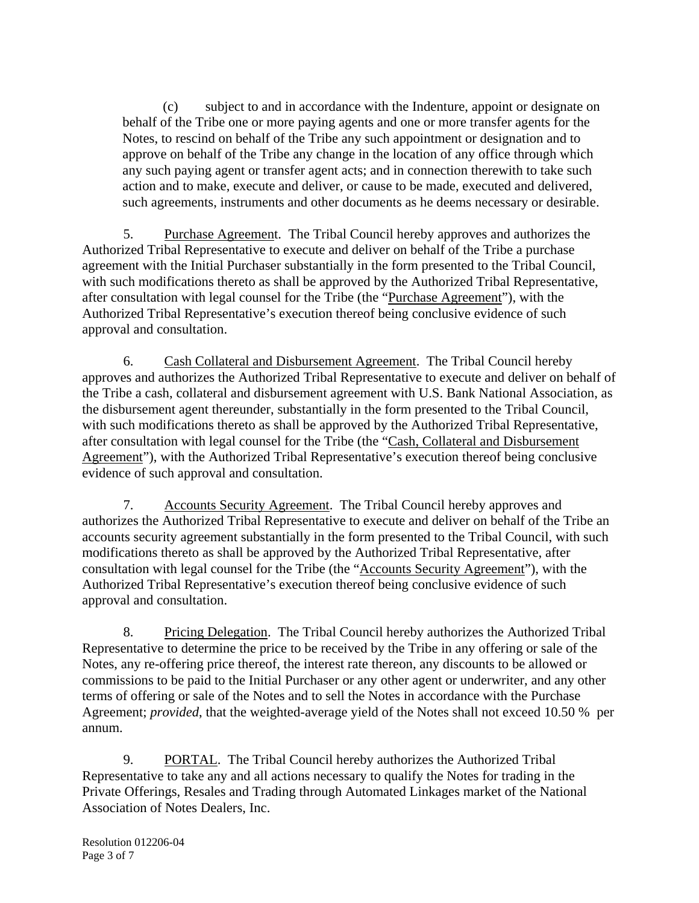(c) subject to and in accordance with the Indenture, appoint or designate on behalf of the Tribe one or more paying agents and one or more transfer agents for the Notes, to rescind on behalf of the Tribe any such appointment or designation and to approve on behalf of the Tribe any change in the location of any office through which any such paying agent or transfer agent acts; and in connection therewith to take such action and to make, execute and deliver, or cause to be made, executed and delivered, such agreements, instruments and other documents as he deems necessary or desirable.

5. Purchase Agreement. The Tribal Council hereby approves and authorizes the Authorized Tribal Representative to execute and deliver on behalf of the Tribe a purchase agreement with the Initial Purchaser substantially in the form presented to the Tribal Council, with such modifications thereto as shall be approved by the Authorized Tribal Representative, after consultation with legal counsel for the Tribe (the "Purchase Agreement"), with the Authorized Tribal Representative's execution thereof being conclusive evidence of such approval and consultation.

6. Cash Collateral and Disbursement Agreement. The Tribal Council hereby approves and authorizes the Authorized Tribal Representative to execute and deliver on behalf of the Tribe a cash, collateral and disbursement agreement with U.S. Bank National Association, as the disbursement agent thereunder, substantially in the form presented to the Tribal Council, with such modifications thereto as shall be approved by the Authorized Tribal Representative, after consultation with legal counsel for the Tribe (the "Cash, Collateral and Disbursement Agreement"), with the Authorized Tribal Representative's execution thereof being conclusive evidence of such approval and consultation.

7. Accounts Security Agreement. The Tribal Council hereby approves and authorizes the Authorized Tribal Representative to execute and deliver on behalf of the Tribe an accounts security agreement substantially in the form presented to the Tribal Council, with such modifications thereto as shall be approved by the Authorized Tribal Representative, after consultation with legal counsel for the Tribe (the "Accounts Security Agreement"), with the Authorized Tribal Representative's execution thereof being conclusive evidence of such approval and consultation.

8. Pricing Delegation. The Tribal Council hereby authorizes the Authorized Tribal Representative to determine the price to be received by the Tribe in any offering or sale of the Notes, any re-offering price thereof, the interest rate thereon, any discounts to be allowed or commissions to be paid to the Initial Purchaser or any other agent or underwriter, and any other terms of offering or sale of the Notes and to sell the Notes in accordance with the Purchase Agreement; *provided*, that the weighted-average yield of the Notes shall not exceed 10.50 % per annum.

9. PORTAL. The Tribal Council hereby authorizes the Authorized Tribal Representative to take any and all actions necessary to qualify the Notes for trading in the Private Offerings, Resales and Trading through Automated Linkages market of the National Association of Notes Dealers, Inc.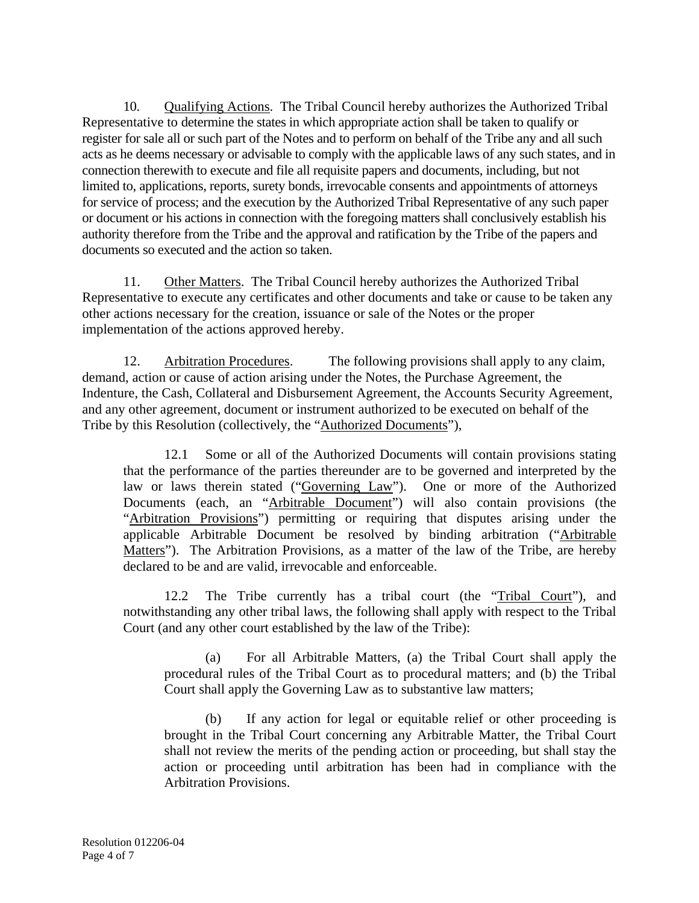10. Qualifying Actions. The Tribal Council hereby authorizes the Authorized Tribal Representative to determine the states in which appropriate action shall be taken to qualify or register for sale all or such part of the Notes and to perform on behalf of the Tribe any and all such acts as he deems necessary or advisable to comply with the applicable laws of any such states, and in connection therewith to execute and file all requisite papers and documents, including, but not limited to, applications, reports, surety bonds, irrevocable consents and appointments of attorneys for service of process; and the execution by the Authorized Tribal Representative of any such paper or document or his actions in connection with the foregoing matters shall conclusively establish his authority therefore from the Tribe and the approval and ratification by the Tribe of the papers and documents so executed and the action so taken.

11. Other Matters. The Tribal Council hereby authorizes the Authorized Tribal Representative to execute any certificates and other documents and take or cause to be taken any other actions necessary for the creation, issuance or sale of the Notes or the proper implementation of the actions approved hereby.

12. Arbitration Procedures. The following provisions shall apply to any claim, demand, action or cause of action arising under the Notes, the Purchase Agreement, the Indenture, the Cash, Collateral and Disbursement Agreement, the Accounts Security Agreement, and any other agreement, document or instrument authorized to be executed on behalf of the Tribe by this Resolution (collectively, the "Authorized Documents"),

 12.1 Some or all of the Authorized Documents will contain provisions stating that the performance of the parties thereunder are to be governed and interpreted by the law or laws therein stated ("Governing Law"). One or more of the Authorized Documents (each, an "Arbitrable Document") will also contain provisions (the "Arbitration Provisions") permitting or requiring that disputes arising under the applicable Arbitrable Document be resolved by binding arbitration ("Arbitrable Matters"). The Arbitration Provisions, as a matter of the law of the Tribe, are hereby declared to be and are valid, irrevocable and enforceable.

12.2 The Tribe currently has a tribal court (the "Tribal Court"), and notwithstanding any other tribal laws, the following shall apply with respect to the Tribal Court (and any other court established by the law of the Tribe):

 (a) For all Arbitrable Matters, (a) the Tribal Court shall apply the procedural rules of the Tribal Court as to procedural matters; and (b) the Tribal Court shall apply the Governing Law as to substantive law matters;

 (b) If any action for legal or equitable relief or other proceeding is brought in the Tribal Court concerning any Arbitrable Matter, the Tribal Court shall not review the merits of the pending action or proceeding, but shall stay the action or proceeding until arbitration has been had in compliance with the Arbitration Provisions.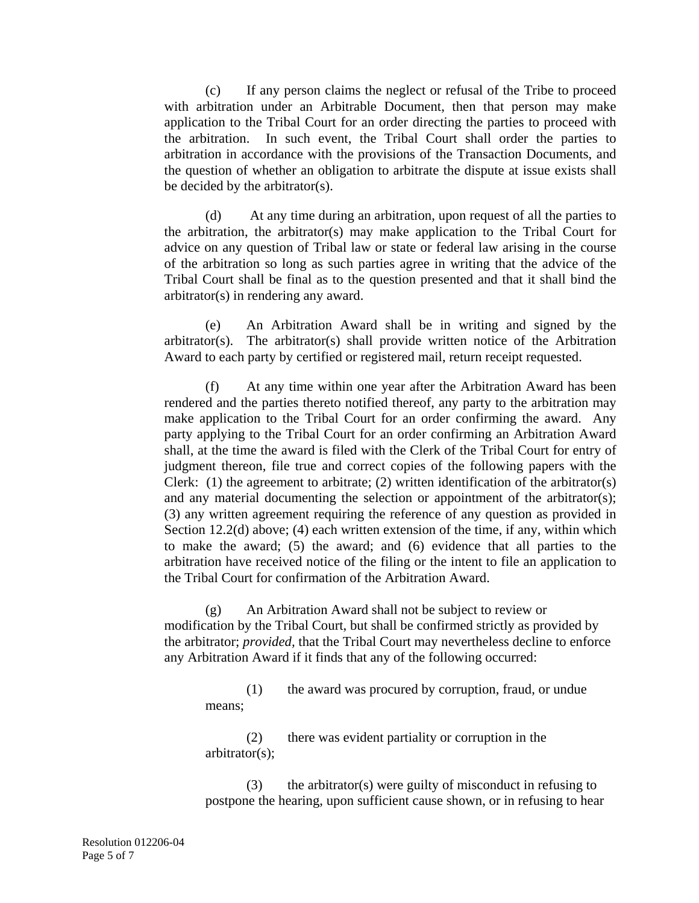(c) If any person claims the neglect or refusal of the Tribe to proceed with arbitration under an Arbitrable Document, then that person may make application to the Tribal Court for an order directing the parties to proceed with the arbitration. In such event, the Tribal Court shall order the parties to arbitration in accordance with the provisions of the Transaction Documents, and the question of whether an obligation to arbitrate the dispute at issue exists shall be decided by the arbitrator(s).

 (d) At any time during an arbitration, upon request of all the parties to the arbitration, the arbitrator(s) may make application to the Tribal Court for advice on any question of Tribal law or state or federal law arising in the course of the arbitration so long as such parties agree in writing that the advice of the Tribal Court shall be final as to the question presented and that it shall bind the arbitrator(s) in rendering any award.

 (e) An Arbitration Award shall be in writing and signed by the arbitrator(s). The arbitrator(s) shall provide written notice of the Arbitration Award to each party by certified or registered mail, return receipt requested.

 (f) At any time within one year after the Arbitration Award has been rendered and the parties thereto notified thereof, any party to the arbitration may make application to the Tribal Court for an order confirming the award. Any party applying to the Tribal Court for an order confirming an Arbitration Award shall, at the time the award is filed with the Clerk of the Tribal Court for entry of judgment thereon, file true and correct copies of the following papers with the Clerk: (1) the agreement to arbitrate; (2) written identification of the arbitrator(s) and any material documenting the selection or appointment of the arbitrator(s); (3) any written agreement requiring the reference of any question as provided in Section 12.2(d) above; (4) each written extension of the time, if any, within which to make the award; (5) the award; and (6) evidence that all parties to the arbitration have received notice of the filing or the intent to file an application to the Tribal Court for confirmation of the Arbitration Award.

(g) An Arbitration Award shall not be subject to review or modification by the Tribal Court, but shall be confirmed strictly as provided by the arbitrator; *provided,* that the Tribal Court may nevertheless decline to enforce any Arbitration Award if it finds that any of the following occurred:

(1) the award was procured by corruption, fraud, or undue means;

(2) there was evident partiality or corruption in the arbitrator(s);

(3) the arbitrator(s) were guilty of misconduct in refusing to postpone the hearing, upon sufficient cause shown, or in refusing to hear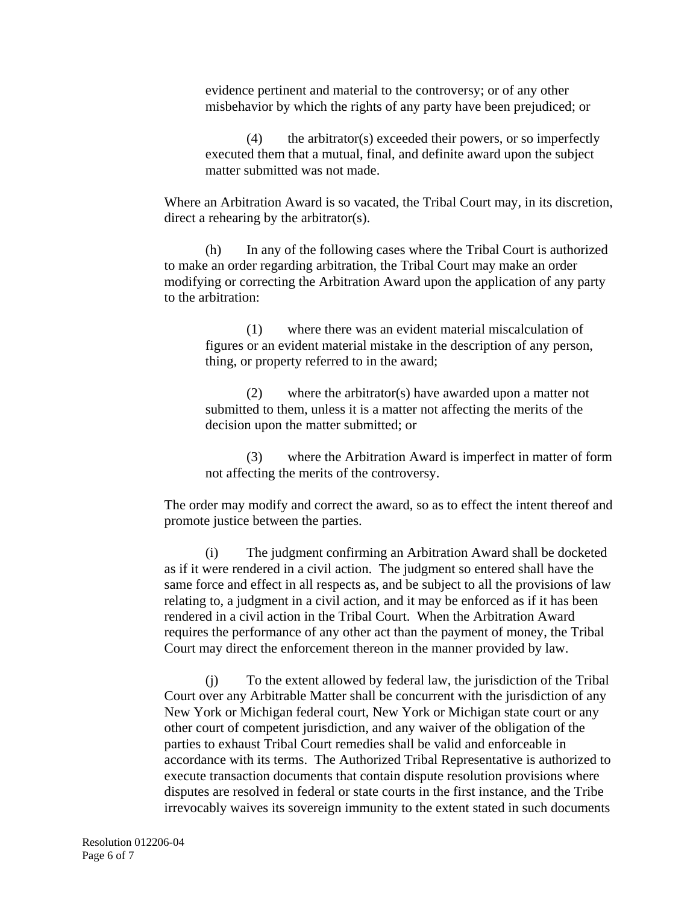evidence pertinent and material to the controversy; or of any other misbehavior by which the rights of any party have been prejudiced; or

(4) the arbitrator(s) exceeded their powers, or so imperfectly executed them that a mutual, final, and definite award upon the subject matter submitted was not made.

Where an Arbitration Award is so vacated, the Tribal Court may, in its discretion, direct a rehearing by the arbitrator(s).

 (h) In any of the following cases where the Tribal Court is authorized to make an order regarding arbitration, the Tribal Court may make an order modifying or correcting the Arbitration Award upon the application of any party to the arbitration:

(1) where there was an evident material miscalculation of figures or an evident material mistake in the description of any person, thing, or property referred to in the award;

(2) where the arbitrator(s) have awarded upon a matter not submitted to them, unless it is a matter not affecting the merits of the decision upon the matter submitted; or

(3) where the Arbitration Award is imperfect in matter of form not affecting the merits of the controversy.

The order may modify and correct the award, so as to effect the intent thereof and promote justice between the parties.

(i) The judgment confirming an Arbitration Award shall be docketed as if it were rendered in a civil action. The judgment so entered shall have the same force and effect in all respects as, and be subject to all the provisions of law relating to, a judgment in a civil action, and it may be enforced as if it has been rendered in a civil action in the Tribal Court. When the Arbitration Award requires the performance of any other act than the payment of money, the Tribal Court may direct the enforcement thereon in the manner provided by law.

(j) To the extent allowed by federal law, the jurisdiction of the Tribal Court over any Arbitrable Matter shall be concurrent with the jurisdiction of any New York or Michigan federal court, New York or Michigan state court or any other court of competent jurisdiction, and any waiver of the obligation of the parties to exhaust Tribal Court remedies shall be valid and enforceable in accordance with its terms. The Authorized Tribal Representative is authorized to execute transaction documents that contain dispute resolution provisions where disputes are resolved in federal or state courts in the first instance, and the Tribe irrevocably waives its sovereign immunity to the extent stated in such documents